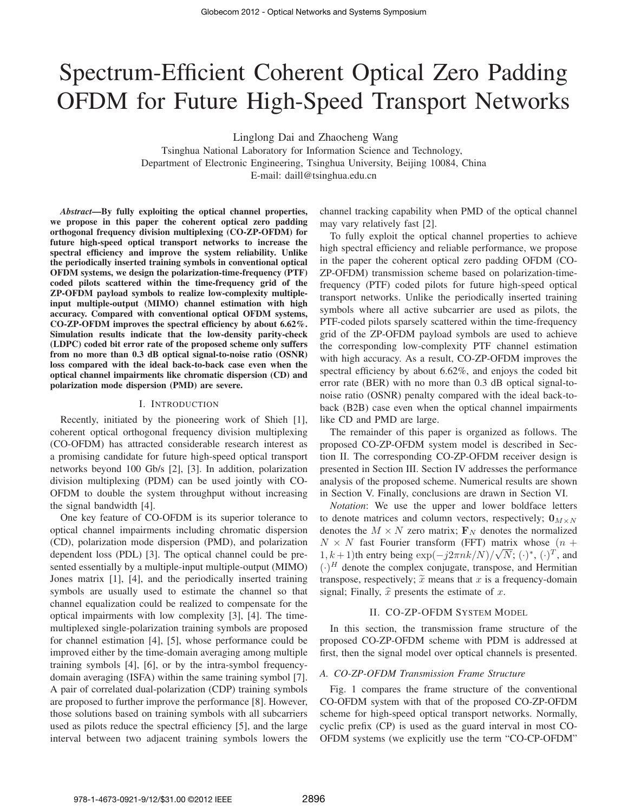# Spectrum-Efficient Coherent Optical Zero Padding OFDM for Future High-Speed Transport Networks

Linglong Dai and Zhaocheng Wang

Tsinghua National Laboratory for Information Science and Technology, Department of Electronic Engineering, Tsinghua University, Beijing 10084, China E-mail: daill@tsinghua.edu.cn

*Abstract*—By fully exploiting the optical channel properties, we propose in this paper the coherent optical zero padding orthogonal frequency division multiplexing (CO-ZP-OFDM) for future high-speed optical transport networks to increase the spectral efficiency and improve the system reliability. Unlike the periodically inserted training symbols in conventional optical OFDM systems, we design the polarization-time-frequency (PTF) coded pilots scattered within the time-frequency grid of the ZP-OFDM payload symbols to realize low-complexity multipleinput multiple-output (MIMO) channel estimation with high accuracy. Compared with conventional optical OFDM systems, CO-ZP-OFDM improves the spectral efficiency by about 6.62%. Simulation results indicate that the low-density parity-check (LDPC) coded bit error rate of the proposed scheme only suffers from no more than 0.3 dB optical signal-to-noise ratio (OSNR) loss compared with the ideal back-to-back case even when the optical channel impairments like chromatic dispersion (CD) and polarization mode dispersion (PMD) are severe.

#### I. INTRODUCTION

Recently, initiated by the pioneering work of Shieh [1], coherent optical orthogonal frequency division multiplexing (CO-OFDM) has attracted considerable research interest as a promising candidate for future high-speed optical transport networks beyond 100 Gb/s [2], [3]. In addition, polarization division multiplexing (PDM) can be used jointly with CO-OFDM to double the system throughput without increasing the signal bandwidth [4].

One key feature of CO-OFDM is its superior tolerance to optical channel impairments including chromatic dispersion (CD), polarization mode dispersion (PMD), and polarization dependent loss (PDL) [3]. The optical channel could be presented essentially by a multiple-input multiple-output (MIMO) Jones matrix [1], [4], and the periodically inserted training symbols are usually used to estimate the channel so that channel equalization could be realized to compensate for the optical impairments with low complexity [3], [4]. The timemultiplexed single-polarization training symbols are proposed for channel estimation [4], [5], whose performance could be improved either by the time-domain averaging among multiple training symbols [4], [6], or by the intra-symbol frequencydomain averaging (ISFA) within the same training symbol [7]. A pair of correlated dual-polarization (CDP) training symbols are proposed to further improve the performance [8]. However, those solutions based on training symbols with all subcarriers used as pilots reduce the spectral efficiency [5], and the large interval between two adjacent training symbols lowers the channel tracking capability when PMD of the optical channel may vary relatively fast [2].

To fully exploit the optical channel properties to achieve high spectral efficiency and reliable performance, we propose in the paper the coherent optical zero padding OFDM (CO-ZP-OFDM) transmission scheme based on polarization-timefrequency (PTF) coded pilots for future high-speed optical transport networks. Unlike the periodically inserted training symbols where all active subcarrier are used as pilots, the PTF-coded pilots sparsely scattered within the time-frequency grid of the ZP-OFDM payload symbols are used to achieve the corresponding low-complexity PTF channel estimation with high accuracy. As a result, CO-ZP-OFDM improves the spectral efficiency by about 6.62%, and enjoys the coded bit error rate (BER) with no more than 0.3 dB optical signal-tonoise ratio (OSNR) penalty compared with the ideal back-toback (B2B) case even when the optical channel impairments like CD and PMD are large.

The remainder of this paper is organized as follows. The proposed CO-ZP-OFDM system model is described in Section II. The corresponding CO-ZP-OFDM receiver design is presented in Section III. Section IV addresses the performance analysis of the proposed scheme. Numerical results are shown in Section V. Finally, conclusions are drawn in Section VI.

*Notation*: We use the upper and lower boldface letters to denote matrices and column vectors, respectively;  $\mathbf{0}_{M \times N}$ denotes the  $M \times N$  zero matrix;  $\mathbf{F}_N$  denotes the normalized  $N \times N$  fast Fourier transform (FFT) matrix whose  $(n +$ 1, k + 1)th entry being  $\exp(-j2\pi n k/N)/\sqrt{N}$ ;  $(\cdot)^{*}$ ,  $(\cdot)^{T}$ , and<br> $(\cdot)^{H}$  denote the complex conjugate, transpose, and Hermitian  $(\cdot)^H$  denote the complex conjugate, transpose, and Hermitian transpose, respectively;  $\tilde{x}$  means that x is a frequency-domain signal; Finally,  $\hat{x}$  presents the estimate of x.

## II. CO-ZP-OFDM SYSTEM MODEL

In this section, the transmission frame structure of the proposed CO-ZP-OFDM scheme with PDM is addressed at first, then the signal model over optical channels is presented.

#### *A. CO-ZP-OFDM Transmission Frame Structure*

Fig. 1 compares the frame structure of the conventional CO-OFDM system with that of the proposed CO-ZP-OFDM scheme for high-speed optical transport networks. Normally, cyclic prefix (CP) is used as the guard interval in most CO-OFDM systems (we explicitly use the term "CO-CP-OFDM"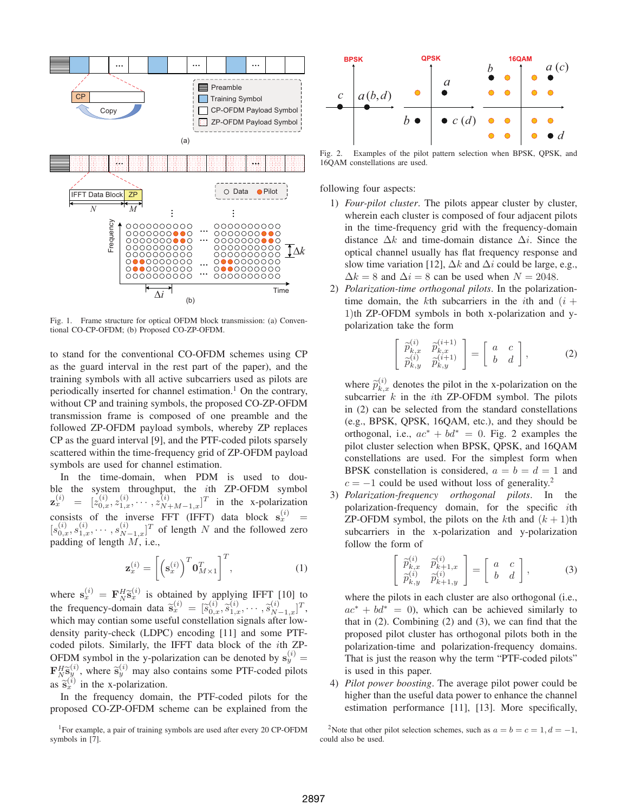

Fig. 1. Frame structure for optical OFDM block transmission: (a) Conventional CO-CP-OFDM; (b) Proposed CO-ZP-OFDM.

to stand for the conventional CO-OFDM schemes using CP as the guard interval in the rest part of the paper), and the training symbols with all active subcarriers used as pilots are periodically inserted for channel estimation.<sup>1</sup> On the contrary, without CP and training symbols, the proposed CO-ZP-OFDM transmission frame is composed of one preamble and the followed ZP-OFDM payload symbols, whereby ZP replaces CP as the guard interval [9], and the PTF-coded pilots sparsely scattered within the time-frequency grid of ZP-OFDM payload symbols are used for channel estimation.

In the time-domain, when PDM is used to double the system throughput, the *i*th ZP-OFDM symbol  $\mathbf{z}_x^{(i)} = [z_{0,x}^{(i)}, z_{1,x}^{(i)}, \cdots, z_{N+M-1,x}^{(i)}]^T$  in the x-polarization  $\mathbf{z}_x = [z_{0,x}, z_{1,x}, \dots, z_{N+M-1,x}]$  in the x-potanization<br>consists of the inverse FFT (IFFT) data block  $\mathbf{s}_x^{(i)} = [s_{0,x}^{(i)}, s_{1,x}^{(i)}, \dots, s_{N-1,x}^{(i)}]^T$  of length N and the followed zero<br>padding of length M i.e padding of length  $M$ , i.e.,

$$
\mathbf{z}_x^{(i)} = \left[ \left( \mathbf{s}_x^{(i)} \right)^T \mathbf{0}_{M \times 1}^T \right]^T, \tag{1}
$$

where  $\mathbf{s}_x^{(i)} = \mathbf{F}_N^H \tilde{\mathbf{s}}_x^{(i)}$  is obtained by applying IFFT [10] to the frequency domain data  $\tilde{\mathbf{s}}_x^{(i)} = \begin{bmatrix} \tilde{\mathbf{s}}_x^{(i)} & \tilde{\mathbf{s}}_x^{(i)} & \tilde{\mathbf{s}}_x^{(i)} \end{bmatrix}$ the frequency-domain data  $\tilde{\mathbf{s}}_x^{(i)} = [\tilde{s}_x]$ <br>which may contian some useful constel  $\widetilde{s}_{0,x}^{(i)},\widetilde{s}_{1,x}^{(i)},\cdots,\widetilde{s}_{N}^{(i)}$  $\begin{array}{l} {n \choose N-1,x}^T, \ \text{after low-} \end{array}$ which may contian some useful constellation signals after lowdensity parity-check (LDPC) encoding [11] and some PTFcoded pilots. Similarly, the IFFT data block of the ith ZP-OFDM symbol in the y-polarization can be denoted by  $s_y^{(i)}$ **OFDM** symbol in the y-polarization can be denoted by  $\mathbf{s}_y^y = \mathbf{F}_{N}^H \mathbf{\tilde{s}}_y^{(i)}$ , where  $\tilde{\mathbf{s}}_y^{(i)}$  may also contains some PTF-coded pilots as  $\tilde{\mathbf{s}}_x^{(i)}$  in the x-polarization.

In the frequency domain, the PTF-coded pilots for the proposed CO-ZP-OFDM scheme can be explained from the



Fig. 2. Examples of the pilot pattern selection when BPSK, QPSK, and 16QAM constellations are used.

following four aspects:

- 1) *Four-pilot cluster*. The pilots appear cluster by cluster, wherein each cluster is composed of four adjacent pilots in the time-frequency grid with the frequency-domain distance  $\Delta k$  and time-domain distance  $\Delta i$ . Since the optical channel usually has flat frequency response and slow time variation [12],  $\Delta k$  and  $\Delta i$  could be large, e.g.,  $\Delta k = 8$  and  $\Delta i = 8$  can be used when  $N = 2048$ .
- 2) *Polarization-time orthogonal pilots*. In the polarizationtime domain, the kth subcarriers in the *i*th and  $(i +$ 1)th ZP-OFDM symbols in both x-polarization and ypolarization take the form

$$
\begin{bmatrix}\n\widetilde{p}_{k,x}^{(i)} & \widetilde{p}_{k,x}^{(i+1)} \\
\widetilde{p}_{k,y}^{(i)} & \widetilde{p}_{k,y}^{(i+1)}\n\end{bmatrix} = \begin{bmatrix}\na & c \\
b & d\n\end{bmatrix},
$$
\n(2)

where  $\widetilde{p}_{k,x}^{(i)}$  denotes the pilot in the x-polarization on the subseminary levels in the side of  $ZD$  OFDM sumbol. The silent subcarrier  $k$  in the *i*th ZP-OFDM symbol. The pilots in (2) can be selected from the standard constellations (e.g., BPSK, QPSK, 16QAM, etc.), and they should be orthogonal, i.e.,  $ac^* + bd^* = 0$ . Fig. 2 examples the pilot cluster selection when BPSK, QPSK, and 16QAM constellations are used. For the simplest form when BPSK constellation is considered,  $a = b = d = 1$  and  $c = -1$  could be used without loss of generality.<sup>2</sup>

3) *Polarization-frequency orthogonal pilots*. In the polarization-frequency domain, for the specific ith ZP-OFDM symbol, the pilots on the kth and  $(k + 1)$ th subcarriers in the x-polarization and y-polarization follow the form of

$$
\begin{bmatrix}\n\widetilde{p}_{k,x}^{(i)} & \widetilde{p}_{k+1,x}^{(i)} \\
\widetilde{p}_{k,y}^{(i)} & \widetilde{p}_{k+1,y}^{(i)}\n\end{bmatrix} = \begin{bmatrix}\na & c \\
b & d\n\end{bmatrix},
$$
\n(3)

where the pilots in each cluster are also orthogonal (i.e.,  $ac^* + bd^* = 0$ , which can be achieved similarly to that in (2). Combining (2) and (3), we can find that the proposed pilot cluster has orthogonal pilots both in the polarization-time and polarization-frequency domains. That is just the reason why the term "PTF-coded pilots" is used in this paper.

4) *Pilot power boosting*. The average pilot power could be higher than the useful data power to enhance the channel estimation performance [11], [13]. More specifically,

<sup>&</sup>lt;sup>1</sup>For example, a pair of training symbols are used after every 20 CP-OFDM symbols in [7].

<sup>&</sup>lt;sup>2</sup>Note that other pilot selection schemes, such as  $a = b = c = 1, d = -1$ , could also be used.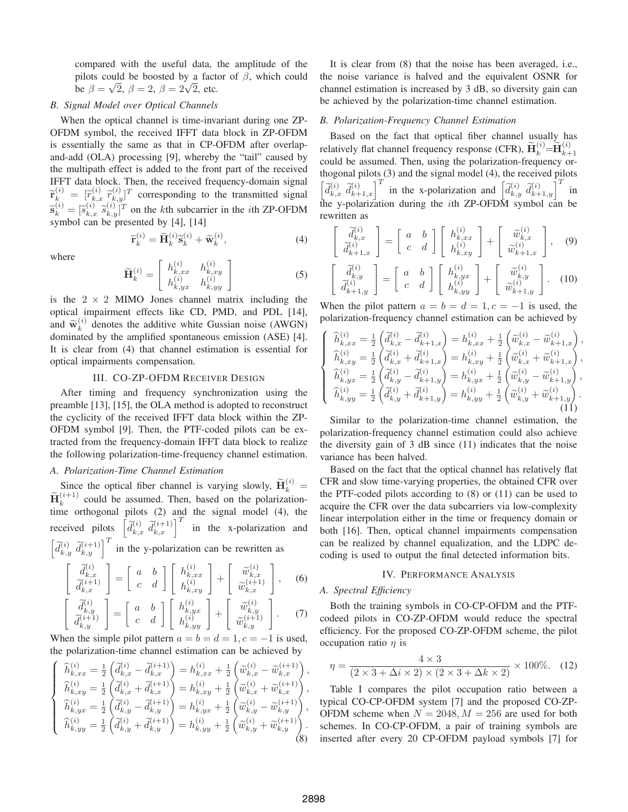compared with the useful data, the amplitude of the pilots could be boosted by a factor of  $\beta$ , which could be  $\beta = \sqrt{2}$ ,  $\beta = 2$ ,  $\beta = 2\sqrt{2}$ , etc.

## *B. Signal Model over Optical Channels*

When the optical channel is time-invariant during one ZP-OFDM symbol, the received IFFT data block in ZP-OFDM is essentially the same as that in CP-OFDM after overlapand-add (OLA) processing [9], whereby the "tail" caused by the multipath effect is added to the front part of the received IFFT data block. Then, the received frequency-domain signal  $\widetilde{\mathbf{r}}_{k}^{(i)}$  =  $\widetilde{[r]}_{k}^{(i)}$  $\widetilde{r}_{k,x}^{(i)}$   $\widetilde{r}_{k,y}^{(i)}$  $\begin{bmatrix}\n\lambda_{y} \\
\lambda_{y} \\
\lambda_{z}\n\end{bmatrix}^T$  corresponding to the transmitted signal  $\widetilde{\mathbf{s}}_k^{(i)} = [\widetilde{s}]$ <br>symbol c  $\widetilde{s}_{k,x}^{(i)}$   $\widetilde{s}_{k,y}^{(i)}$  ${k_i \choose k}$ <sup>T</sup> on the kth subcarrier in the *i*th ZP-OFDM<br>e presented by [4], [14] symbol can be presented by [4], [14]

$$
\widetilde{\mathbf{r}}_k^{(i)} = \widetilde{\mathbf{H}}_k^{(i)} \widetilde{\mathbf{s}}_k^{(i)} + \widetilde{\mathbf{w}}_k^{(i)},
$$
\n(4)

where

$$
\widetilde{\mathbf{H}}_{k}^{(i)} = \begin{bmatrix} h_{k,xx}^{(i)} & h_{k,xy}^{(i)} \\ h_{k,yx}^{(i)} & h_{k,yy}^{(i)} \end{bmatrix}
$$
\n(5)

is the  $2 \times 2$  MIMO Jones channel matrix including the optical impairment effects like CD, PMD, and PDL [14], and  $\widetilde{\mathbf{w}}_k^{(i)}$  denotes the additive white Gussian noise (AWGN) dominated by the amplified spontaneous emission (ASE) [4]. It is clear from (4) that channel estimation is essential for optical impairments compensation.

## III. CO-ZP-OFDM RECEIVER DESIGN

After timing and frequency synchronization using the preamble [13], [15], the OLA method is adopted to reconstruct the cyclicity of the received IFFT data block within the ZP-OFDM symbol [9]. Then, the PTF-coded pilots can be extracted from the frequency-domain IFFT data block to realize the following polarization-time-frequency channel estimation.

# *A. Polarization-Time Channel Estimation*

Since the optical fiber channel is varying slowly,  $\widetilde{\mathbf{H}}_k^{(i)}$  $\frac{k}{\sin n}$  $\widetilde{\mathbf{H}}_k^{(i+1)}$  could be assumed. Then, based on the polarizationtime orthogonal pilots (2) and the signal model (4), the received pilots  $\left[\tilde{d}_{k,x}^{(i)}\ \tilde{d}_{k,x}^{(i+1)}\right]^T$  in the x-polarization and  $\left[\tilde{d}_{k,y}^{(i)} \ \tilde{d}_{k,y}^{(i+1)}\right]^T$  in the y-polarization can be rewritten as  $\left[ \begin{array}{c} \widetilde{d}_{k,s}^{(i)} \end{array} \right]$ 

$$
\begin{bmatrix}\n\widetilde{d}_{k,x}^{(i)} \\
\widetilde{d}_{k,x}^{(i+1)}\n\end{bmatrix} = \begin{bmatrix}\na & b\n\end{bmatrix} \begin{bmatrix}\nh_{k,xx}^{(i)} \\
h_{k,xy}^{(i)}\n\end{bmatrix} + \begin{bmatrix}\n\widetilde{w}_{k,x}^{(i)} \\
\widetilde{w}_{k,x}^{(i+1)}\n\end{bmatrix},
$$
\n(6)\n
$$
\widetilde{d}_{k,x}^{(i)} = \begin{bmatrix}\na & b\n\end{bmatrix} \begin{bmatrix}\nh_{k,x}^{(i)} \\
\widetilde{w}_{k,x}^{(i)}\n\end{bmatrix} = \begin{bmatrix}\na & b\n\end{bmatrix} \begin{bmatrix}\nh^{(i)}\n\end{bmatrix} = \begin{bmatrix}\na^{(i)}\n\end{bmatrix}
$$

$$
\begin{bmatrix}\n\widetilde{d}_{k,y}^{(i)} \\
\widetilde{d}_{k,y}^{(i+1)}\n\end{bmatrix} = \begin{bmatrix}\na & b \\
c & d\n\end{bmatrix} \begin{bmatrix}\nh_{k,yx}^{(i)} \\
h_{k,yy}^{(i)}\n\end{bmatrix} + \begin{bmatrix}\n\widetilde{w}_{k,y}^{(i)} \\
\widetilde{w}_{k,y}^{(i+1)}\n\end{bmatrix}.
$$
\n(7)

When the simple pilot pattern  $a = b = d = 1, c = -1$  is used, the polarization-time channel estimation can be achieved by

$$
\left\{ \begin{array}{l} \widehat{h}_{k,xx}^{(i)} = \frac{1}{2} \left( \widetilde{d}_{k,x}^{(i)} - \widetilde{d}_{k,x}^{(i+1)} \right) = h_{k,xx}^{(i)} + \frac{1}{2} \left( \widetilde{w}_{k,x}^{(i)} - \widetilde{w}_{k,x}^{(i+1)} \right), \\ \widehat{h}_{k,xy}^{(i)} = \frac{1}{2} \left( \widetilde{d}_{k,x}^{(i)} + \widetilde{d}_{k,x}^{(i+1)} \right) = h_{k,xy}^{(i)} + \frac{1}{2} \left( \widetilde{w}_{k,x}^{(i)} + \widetilde{w}_{k,x}^{(i+1)} \right), \\ \widehat{h}_{k,yx}^{(i)} = \frac{1}{2} \left( \widetilde{d}_{k,y}^{(i)} - \widetilde{d}_{k,y}^{(i+1)} \right) = h_{k,yx}^{(i)} + \frac{1}{2} \left( \widetilde{w}_{k,y}^{(i)} - \widetilde{w}_{k,y}^{(i+1)} \right), \\ \widehat{h}_{k,yy}^{(i)} = \frac{1}{2} \left( \widetilde{d}_{k,y}^{(i)} + \widetilde{d}_{k,y}^{(i+1)} \right) = h_{k,yy}^{(i)} + \frac{1}{2} \left( \widetilde{w}_{k,y}^{(i)} + \widetilde{w}_{k,y}^{(i+1)} \right). \end{array} \right\}
$$
 (8)

It is clear from (8) that the noise has been averaged, i.e., the noise variance is halved and the equivalent OSNR for channel estimation is increased by 3 dB, so diversity gain can be achieved by the polarization-time channel estimation.

### *B. Polarization-Frequency Channel Estimation*

Based on the fact that optical fiber channel usually has relatively flat channel frequency response (CFR),  $\widetilde{H}_{k}^{(i)} = \widetilde{H}_{k+1}^{(i)}$ <br>could be assumed. Then using the polarization-frequency orcould be assumed. Then, using the polarization-frequency orthogonal pilots (3) and the signal model (4), the received pilots  $\left[\tilde{d}_{k,y}^{(i)}\ \tilde{d}_{k+1,y}^{(i)}\right]^T$  in the x-polarization and  $\left[\tilde{d}_{k,y}^{(i)}\ \tilde{d}_{k+1,y}^{(i)}\right]^T$  in the y-polarization during the *i*th ZP-OFDM symbol can be rewritten as

$$
\begin{bmatrix}\n\widetilde{d}_{k,x}^{(i)} \\
\widetilde{d}_{k+1,x}^{(i)}\n\end{bmatrix} = \begin{bmatrix}\na & b\n\end{bmatrix} \begin{bmatrix}\nh_{k,xx}^{(i)} \\
h_{k,xy}^{(i)}\n\end{bmatrix} + \begin{bmatrix}\n\widetilde{w}_{k,x}^{(i)} \\
\widetilde{w}_{k+1,x}^{(i)}\n\end{bmatrix},
$$
\n(9)

$$
\begin{bmatrix}\n\widetilde{d}_{k,y}^{(i)} \\
\widetilde{d}_{k+1,y}^{(i)}\n\end{bmatrix} = \begin{bmatrix}\na & b \\
c & d\n\end{bmatrix} \begin{bmatrix}\nh_{k,yx}^{(i)} \\
h_{k,yy}^{(i)}\n\end{bmatrix} + \begin{bmatrix}\n\widetilde{w}_{k,y}^{(i)} \\
\widetilde{w}_{k+1,y}^{(i)}\n\end{bmatrix}.
$$
\n(10)

When the pilot pattern  $a = b = d = 1, c = -1$  is used, the polarization-frequency channel estimation can be achieved by

$$
\begin{cases}\n\hat{h}_{k,xx}^{(i)} = \frac{1}{2} \left( \tilde{d}_{k,x}^{(i)} - \tilde{d}_{k+1,x}^{(i)} \right) = h_{k,xx}^{(i)} + \frac{1}{2} \left( \tilde{w}_{k,x}^{(i)} - \tilde{w}_{k+1,x}^{(i)} \right), \\
\hat{h}_{k,xy}^{(i)} = \frac{1}{2} \left( \tilde{d}_{k,x}^{(i)} + \tilde{d}_{k+1,x}^{(i)} \right) = h_{k,xy}^{(i)} + \frac{1}{2} \left( \tilde{w}_{k,x}^{(i)} + \tilde{w}_{k+1,x}^{(i)} \right), \\
\hat{h}_{k,yx}^{(i)} = \frac{1}{2} \left( \tilde{d}_{k,y}^{(i)} - \tilde{d}_{k+1,y}^{(i)} \right) = h_{k,yx}^{(i)} + \frac{1}{2} \left( \tilde{w}_{k,y}^{(i)} - \tilde{w}_{k+1,y}^{(i)} \right), \\
\hat{h}_{k,yy}^{(i)} = \frac{1}{2} \left( \tilde{d}_{k,y}^{(i)} + \tilde{d}_{k+1,y}^{(i)} \right) = h_{k,yy}^{(i)} + \frac{1}{2} \left( \tilde{w}_{k,y}^{(i)} + \tilde{w}_{k+1,y}^{(i)} \right). \\
(11)\n\end{cases}
$$

Similar to the polarization-time channel estimation, the polarization-frequency channel estimation could also achieve the diversity gain of  $3$  dB since  $(11)$  indicates that the noise variance has been halved.

Based on the fact that the optical channel has relatively flat CFR and slow time-varying properties, the obtained CFR over the PTF-coded pilots according to (8) or (11) can be used to acquire the CFR over the data subcarriers via low-complexity linear interpolation either in the time or frequency domain or both [16]. Then, optical channel impairments compensation can be realized by channel equalization, and the LDPC decoding is used to output the final detected information bits.

## IV. PERFORMANCE ANALYSIS

# *A. Spectral Efficiency*

Both the training symbols in CO-CP-OFDM and the PTFcodeed pilots in CO-ZP-OFDM would reduce the spectral efficiency. For the proposed CO-ZP-OFDM scheme, the pilot occupation ratio  $\eta$  is

$$
\eta = \frac{4 \times 3}{(2 \times 3 + \Delta i \times 2) \times (2 \times 3 + \Delta k \times 2)} \times 100\%.\tag{12}
$$

Table I compares the pilot occupation ratio between a typical CO-CP-OFDM system [7] and the proposed CO-ZP-OFDM scheme when  $N = 2048$ ,  $M = 256$  are used for both schemes. In CO-CP-OFDM, a pair of training symbols are inserted after every 20 CP-OFDM payload symbols [7] for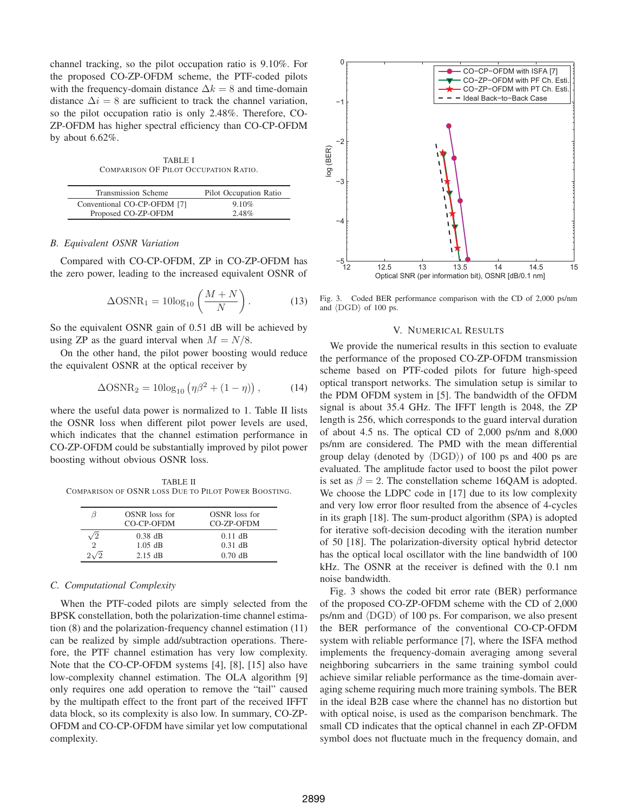channel tracking, so the pilot occupation ratio is 9.10%. For the proposed CO-ZP-OFDM scheme, the PTF-coded pilots with the frequency-domain distance  $\Delta k = 8$  and time-domain distance  $\Delta i = 8$  are sufficient to track the channel variation, so the pilot occupation ratio is only 2.48%. Therefore, CO-ZP-OFDM has higher spectral efficiency than CO-CP-OFDM by about 6.62%.

TABLE I COMPARISON OF PILOT OCCUPATION RATIO.

| Transmission Scheme         | Pilot Occupation Ratio |
|-----------------------------|------------------------|
| Conventional CO-CP-OFDM [7] | 9.10%                  |
| Proposed CO-ZP-OFDM         | 2.48%                  |

### *B. Equivalent OSNR Variation*

Compared with CO-CP-OFDM, ZP in CO-ZP-OFDM has the zero power, leading to the increased equivalent OSNR of

$$
\Delta \text{OSNR}_1 = 10 \log_{10} \left( \frac{M+N}{N} \right). \tag{13}
$$

So the equivalent OSNR gain of 0.51 dB will be achieved by using ZP as the guard interval when  $M = N/8$ .

On the other hand, the pilot power boosting would reduce the equivalent OSNR at the optical receiver by

$$
\Delta \text{OSNR}_2 = 10 \log_{10} \left( \eta \beta^2 + (1 - \eta) \right),\tag{14}
$$

where the useful data power is normalized to 1. Table II lists the OSNR loss when different pilot power levels are used, which indicates that the channel estimation performance in CO-ZP-OFDM could be substantially improved by pilot power boosting without obvious OSNR loss.

TABLE II COMPARISON OF OSNR LOSS DUE TO PILOT POWER BOOSTING.

| 15 | OSNR loss for<br>CO-CP-OFDM | OSNR loss for<br>CO-ZP-OFDM |
|----|-----------------------------|-----------------------------|
|    | $0.38$ dB                   | $0.11$ dB                   |
| 2  | $1.05$ dB                   | $0.31$ dB                   |
|    | $2.15 \text{ dB}$           | $0.70$ dB                   |

#### *C. Computational Complexity*

When the PTF-coded pilots are simply selected from the BPSK constellation, both the polarization-time channel estimation (8) and the polarization-frequency channel estimation (11) can be realized by simple add/subtraction operations. Therefore, the PTF channel estimation has very low complexity. Note that the CO-CP-OFDM systems [4], [8], [15] also have low-complexity channel estimation. The OLA algorithm [9] only requires one add operation to remove the "tail" caused by the multipath effect to the front part of the received IFFT data block, so its complexity is also low. In summary, CO-ZP-OFDM and CO-CP-OFDM have similar yet low computational complexity.



Fig. 3. Coded BER performance comparison with the CD of 2,000 ps/nm and  $\langle$ DGD $\rangle$  of 100 ps.

#### V. NUMERICAL RESULTS

We provide the numerical results in this section to evaluate the performance of the proposed CO-ZP-OFDM transmission scheme based on PTF-coded pilots for future high-speed optical transport networks. The simulation setup is similar to the PDM OFDM system in [5]. The bandwidth of the OFDM signal is about 35.4 GHz. The IFFT length is 2048, the ZP length is 256, which corresponds to the guard interval duration of about 4.5 ns. The optical CD of 2,000 ps/nm and 8,000 ps/nm are considered. The PMD with the mean differential group delay (denoted by  $\langle DGD \rangle$ ) of 100 ps and 400 ps are evaluated. The amplitude factor used to boost the pilot power is set as  $\beta = 2$ . The constellation scheme 16QAM is adopted. We choose the LDPC code in [17] due to its low complexity and very low error floor resulted from the absence of 4-cycles in its graph [18]. The sum-product algorithm (SPA) is adopted for iterative soft-decision decoding with the iteration number of 50 [18]. The polarization-diversity optical hybrid detector has the optical local oscillator with the line bandwidth of 100 kHz. The OSNR at the receiver is defined with the 0.1 nm noise bandwidth.

Fig. 3 shows the coded bit error rate (BER) performance of the proposed CO-ZP-OFDM scheme with the CD of 2,000 ps/nm and  $\langle$ DGD $\rangle$  of 100 ps. For comparison, we also present the BER performance of the conventional CO-CP-OFDM system with reliable performance [7], where the ISFA method implements the frequency-domain averaging among several neighboring subcarriers in the same training symbol could achieve similar reliable performance as the time-domain averaging scheme requiring much more training symbols. The BER in the ideal B2B case where the channel has no distortion but with optical noise, is used as the comparison benchmark. The small CD indicates that the optical channel in each ZP-OFDM symbol does not fluctuate much in the frequency domain, and